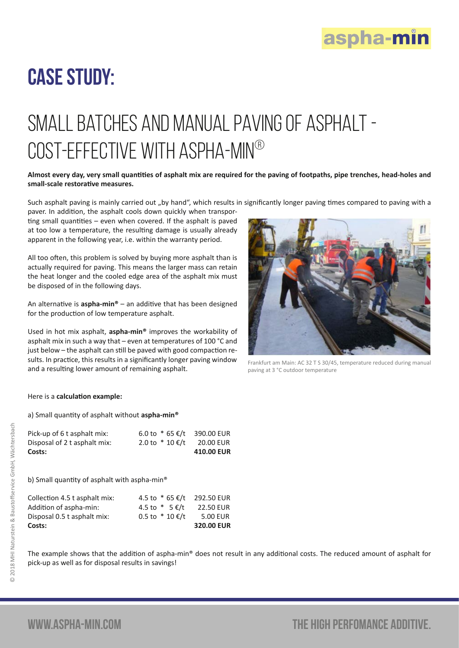

## Case Study:

# Small Batches and manual paving of asphalt - Cost-effective with aspha-min®

#### **Almost every day, very small quantities of asphalt mix are required for the paving of footpaths, pipe trenches, head-holes and small-scale restorative measures.**

Such asphalt paving is mainly carried out "by hand", which results in significantly longer paving times compared to paving with a paver. In addition, the asphalt cools down quickly when transpor-

ting small quantities – even when covered. If the asphalt is paved at too low a temperature, the resulting damage is usually already apparent in the following year, i.e. within the warranty period.

All too often, this problem is solved by buying more asphalt than is actually required for paving. This means the larger mass can retain the heat longer and the cooled edge area of the asphalt mix must be disposed of in the following days.

An alternative is **aspha-min®** – an additive that has been designed for the production of low temperature asphalt.

Used in hot mix asphalt, **aspha-min®** improves the workability of asphalt mix in such a way that – even at temperatures of 100 °C and just below – the asphalt can still be paved with good compaction results. In practice, this results in a significantly longer paving window and a resulting lower amount of remaining asphalt.



Frankfurt am Main: AC 32 T S 30/45, temperature reduced during manual paving at 3 °C outdoor temperature

#### Here is a **calculation example:**

a) Small quantity of asphalt without **aspha-min®**

| Costs:                       |                              | 410.00 EUR |
|------------------------------|------------------------------|------------|
| Disposal of 2 t asphalt mix: | 2.0 to $*$ 10 €/t            | 20.00 EUR  |
| Pick-up of 6 t asphalt mix:  | 6.0 to $*$ 65 €/t 390.00 EUR |            |

b) Small quantity of asphalt with aspha-min®

| Costs:                        |                            | 320.00 EUR       |
|-------------------------------|----------------------------|------------------|
| Disposal 0.5 t asphalt mix:   | $0.5$ to $*10$ €/t         | 5.00 EUR         |
| Addition of aspha-min:        | 4.5 to $*$ 5 €/t           | <b>22.50 EUR</b> |
| Collection 4.5 t asphalt mix: | 4.5 to * 65 €/t 292.50 EUR |                  |

The example shows that the addition of aspha-min® does not result in any additional costs. The reduced amount of asphalt for pick-up as well as for disposal results in savings!